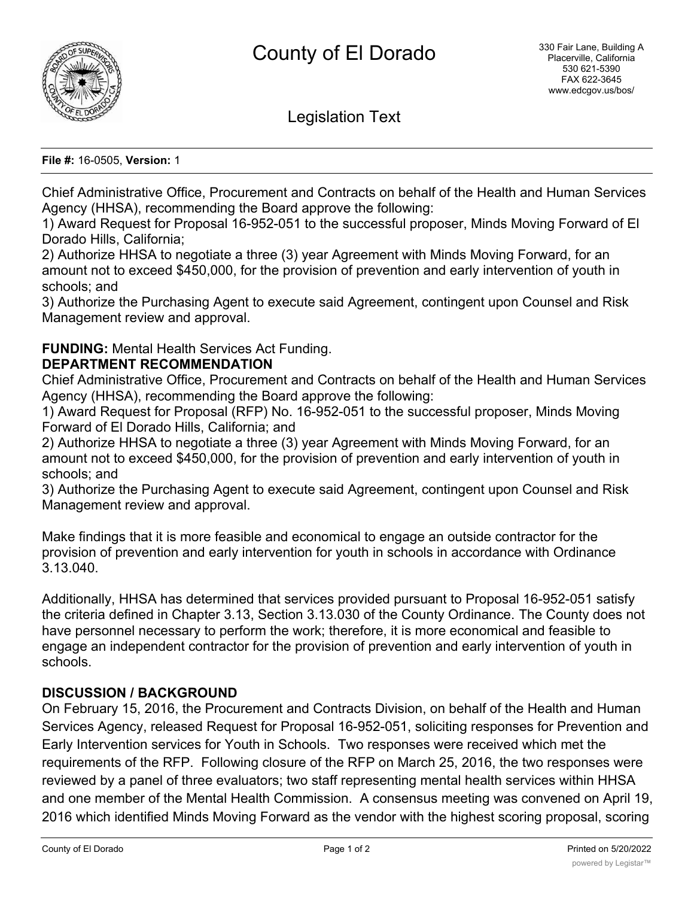

Legislation Text

**File #:** 16-0505, **Version:** 1

Chief Administrative Office, Procurement and Contracts on behalf of the Health and Human Services Agency (HHSA), recommending the Board approve the following:

1) Award Request for Proposal 16-952-051 to the successful proposer, Minds Moving Forward of El Dorado Hills, California;

2) Authorize HHSA to negotiate a three (3) year Agreement with Minds Moving Forward, for an amount not to exceed \$450,000, for the provision of prevention and early intervention of youth in schools; and

3) Authorize the Purchasing Agent to execute said Agreement, contingent upon Counsel and Risk Management review and approval.

**FUNDING:** Mental Health Services Act Funding.

## **DEPARTMENT RECOMMENDATION**

Chief Administrative Office, Procurement and Contracts on behalf of the Health and Human Services Agency (HHSA), recommending the Board approve the following:

1) Award Request for Proposal (RFP) No. 16-952-051 to the successful proposer, Minds Moving Forward of El Dorado Hills, California; and

2) Authorize HHSA to negotiate a three (3) year Agreement with Minds Moving Forward, for an amount not to exceed \$450,000, for the provision of prevention and early intervention of youth in schools; and

3) Authorize the Purchasing Agent to execute said Agreement, contingent upon Counsel and Risk Management review and approval.

Make findings that it is more feasible and economical to engage an outside contractor for the provision of prevention and early intervention for youth in schools in accordance with Ordinance 3.13.040.

Additionally, HHSA has determined that services provided pursuant to Proposal 16-952-051 satisfy the criteria defined in Chapter 3.13, Section 3.13.030 of the County Ordinance. The County does not have personnel necessary to perform the work; therefore, it is more economical and feasible to engage an independent contractor for the provision of prevention and early intervention of youth in schools.

## **DISCUSSION / BACKGROUND**

On February 15, 2016, the Procurement and Contracts Division, on behalf of the Health and Human Services Agency, released Request for Proposal 16-952-051, soliciting responses for Prevention and Early Intervention services for Youth in Schools. Two responses were received which met the requirements of the RFP. Following closure of the RFP on March 25, 2016, the two responses were reviewed by a panel of three evaluators; two staff representing mental health services within HHSA and one member of the Mental Health Commission. A consensus meeting was convened on April 19, 2016 which identified Minds Moving Forward as the vendor with the highest scoring proposal, scoring